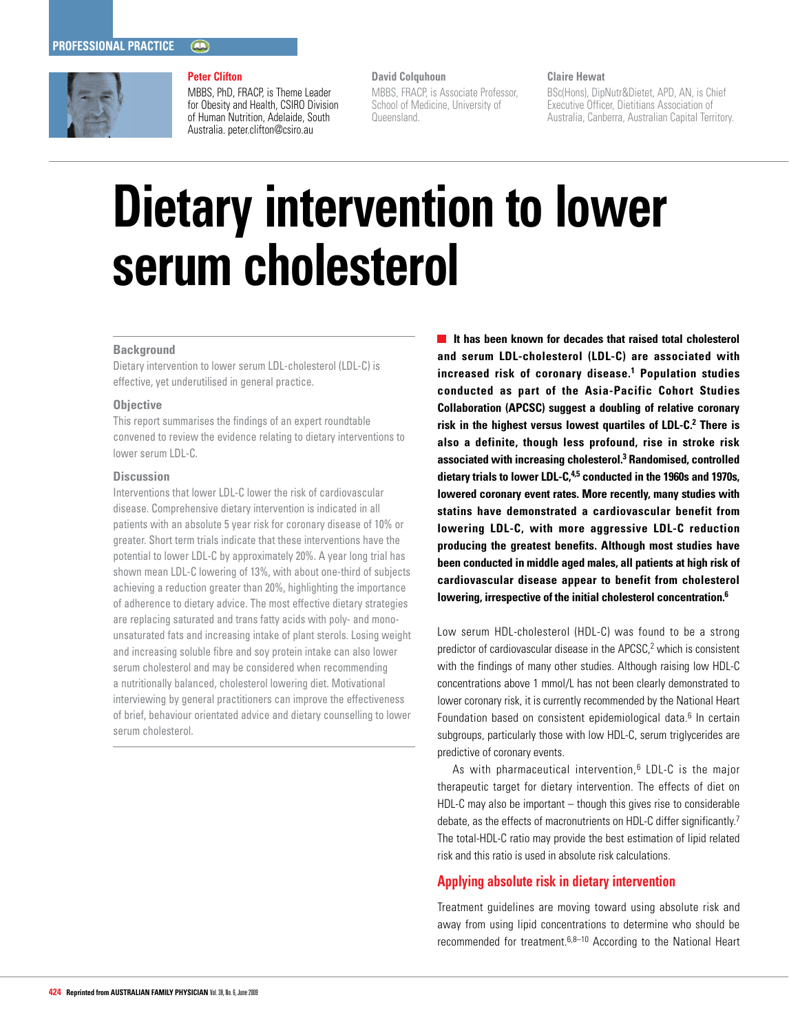

## **Peter Clifton**

MBBS, PhD, FRACP, is Theme Leader for Obesity and Health, CSIRO Division of Human Nutrition, Adelaide, South Australia. peter.clifton@csiro.au

## **David Colquhoun**

MBBS, FRACP, is Associate Professor, School of Medicine, University of Queensland.

#### **Claire Hewat**

BSc(Hons), DipNutr&Dietet, APD, AN, is Chief Executive Officer, Dietitians Association of Australia, Canberra, Australian Capital Territory.

# **Dietary intervention to lower serum cholesterol**

#### **Background**

Dietary intervention to lower serum LDL-cholesterol (LDL-C) is effective, yet underutilised in general practice.

#### **Objective**

This report summarises the findings of an expert roundtable convened to review the evidence relating to dietary interventions to lower serum LDL-C.

#### **Discussion**

Interventions that lower LDL-C lower the risk of cardiovascular disease. Comprehensive dietary intervention is indicated in all patients with an absolute 5 year risk for coronary disease of 10% or greater. Short term trials indicate that these interventions have the potential to lower LDL-C by approximately 20%. A year long trial has shown mean LDL-C lowering of 13%, with about one-third of subjects achieving a reduction greater than 20%, highlighting the importance of adherence to dietary advice. The most effective dietary strategies are replacing saturated and trans fatty acids with poly- and monounsaturated fats and increasing intake of plant sterols. Losing weight and increasing soluble fibre and soy protein intake can also lower serum cholesterol and may be considered when recommending a nutritionally balanced, cholesterol lowering diet. Motivational interviewing by general practitioners can improve the effectiveness of brief, behaviour orientated advice and dietary counselling to lower serum cholesterol.

**If has been known for decades that raised total cholesterol and serum LDL-cholesterol (LDL-C) are associated with increased risk of coronary disease.1 Population studies conducted as part of the Asia-Pacific Cohort Studies Collaboration (APCSC) suggest a doubling of relative coronary risk in the highest versus lowest quartiles of LDL-C. <sup>2</sup> There is also a definite, though less profound, rise in stroke risk associated with increasing cholesterol.3 Randomised, controlled dietary trials to lower LDL-C, 4,5 conducted in the 1960s and 1970s, lowered coronary event rates. More recently, many studies with statins have demonstrated a cardiovascular benefit from lowering LDL-C, with more aggressive LDL-C reduction producing the greatest benefits. Although most studies have been conducted in middle aged males, all patients at high risk of cardiovascular disease appear to benefit from cholesterol lowering, irrespective of the initial cholesterol concentration.6**

Low serum HDL-cholesterol (HDL-C) was found to be a strong predictor of cardiovascular disease in the APCSC,<sup>2</sup> which is consistent with the findings of many other studies. Although raising low HDL-C concentrations above 1 mmol/L has not been clearly demonstrated to lower coronary risk, it is currently recommended by the National Heart Foundation based on consistent epidemiological data.<sup>6</sup> In certain subgroups, particularly those with low HDL-C, serum triglycerides are predictive of coronary events.

As with pharmaceutical intervention, $6$  LDL-C is the major therapeutic target for dietary intervention. The effects of diet on HDL-C may also be important – though this gives rise to considerable debate, as the effects of macronutrients on HDL-C differ significantly.<sup>7</sup> The total-HDL-C ratio may provide the best estimation of lipid related risk and this ratio is used in absolute risk calculations.

## **Applying absolute risk in dietary intervention**

Treatment guidelines are moving toward using absolute risk and away from using lipid concentrations to determine who should be recommended for treatment.6,8–10 According to the National Heart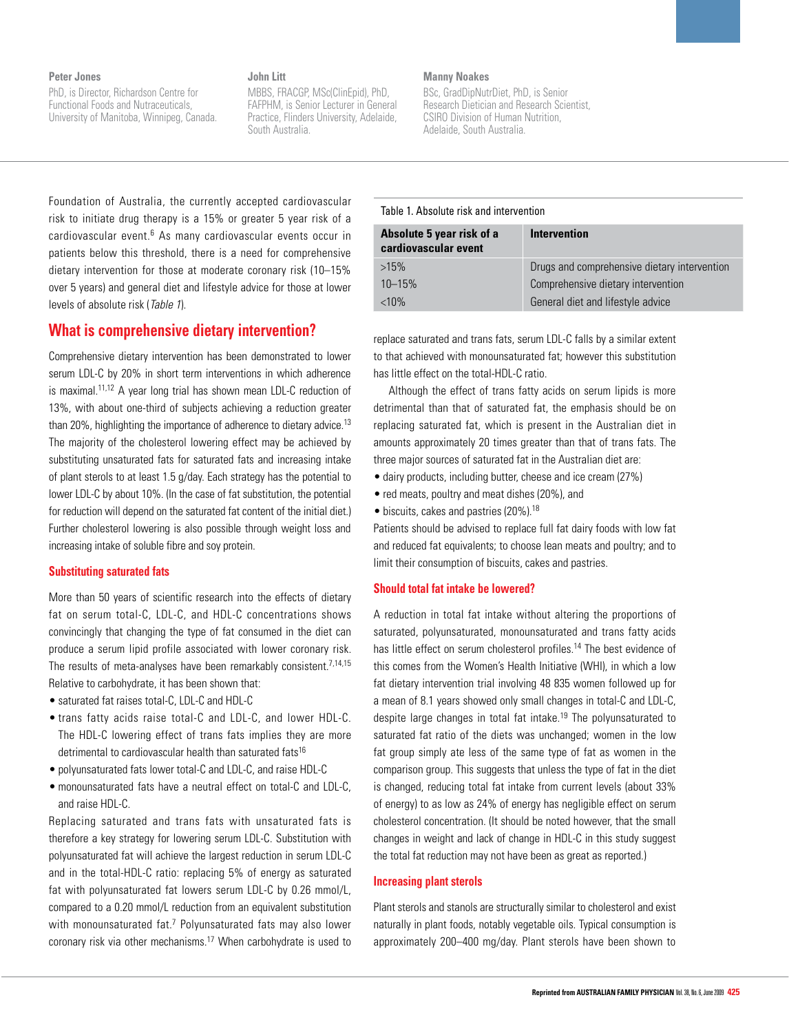#### **Peter Jones**

PhD, is Director, Richardson Centre for Functional Foods and Nutraceuticals, University of Manitoba, Winnipeg, Canada.

## **John Litt**

MBBS, FRACGP, MSc(ClinEpid), PhD, FAFPHM, is Senior Lecturer in General Practice, Flinders University, Adelaide, South Australia.

## **Manny Noakes**

BSc, GradDipNutrDiet, PhD, is Senior Research Dietician and Research Scientist, CSIRO Division of Human Nutrition, Adelaide, South Australia.

| Foundation of Australia, the currently accepted cardiovascular            |                                         |     |
|---------------------------------------------------------------------------|-----------------------------------------|-----|
|                                                                           | Table 1. Absolute risk and intervention |     |
| risk to initiate drug therapy is a 15% or greater 5 year risk of a        |                                         |     |
| cardiovascular event. <sup>6</sup> As many cardiovascular events occur in | Absolute 5 year risk of a               | Int |
| patients below this threshold, there is a need for comprehensive          | cardiovascular event                    |     |
| dietary intervention for those at moderate coronary risk (10–15%          | $>15\%$                                 | Dru |
| over 5 years) and general diet and lifestyle advice for those at lower    | $10 - 15%$                              | Cor |
| levels of absolute risk (Table 1).                                        | $< 10\%$                                | Ger |

# **What is comprehensive dietary intervention?**

Comprehensive dietary intervention has been demonstrated to lower serum LDL-C by 20% in short term interventions in which adherence is maximal.11,12 A year long trial has shown mean LDL-C reduction of 13%, with about one-third of subjects achieving a reduction greater than 20%, highlighting the importance of adherence to dietary advice.<sup>13</sup> The majority of the cholesterol lowering effect may be achieved by substituting unsaturated fats for saturated fats and increasing intake of plant sterols to at least 1.5 g/day. Each strategy has the potential to lower LDL-C by about 10%. (In the case of fat substitution, the potential for reduction will depend on the saturated fat content of the initial diet.) Further cholesterol lowering is also possible through weight loss and increasing intake of soluble fibre and soy protein.

#### **Substituting saturated fats**

More than 50 years of scientific research into the effects of dietary fat on serum total-C, LDL-C, and HDL-C concentrations shows convincingly that changing the type of fat consumed in the diet can produce a serum lipid profile associated with lower coronary risk. The results of meta-analyses have been remarkably consistent.<sup>7,14,15</sup> Relative to carbohydrate, it has been shown that:

- saturated fat raises total-C, LDL-C and HDL-C
- trans fatty acids raise total-C and LDL-C, and lower HDL-C. The HDL-C lowering effect of trans fats implies they are more detrimental to cardiovascular health than saturated fats<sup>16</sup>
- polyunsaturated fats lower total-C and LDL-C, and raise HDL-C
- monounsaturated fats have a neutral effect on total-C and LDL-C, and raise HDL-C.

Replacing saturated and trans fats with unsaturated fats is therefore a key strategy for lowering serum LDL-C. Substitution with polyunsaturated fat will achieve the largest reduction in serum LDL-C and in the total-HDL-C ratio: replacing 5% of energy as saturated fat with polyunsaturated fat lowers serum LDL-C by 0.26 mmol/L, compared to a 0.20 mmol/L reduction from an equivalent substitution with monounsaturated fat.<sup>7</sup> Polyunsaturated fats may also lower coronary risk via other mechanisms.17 When carbohydrate is used to

| Table T. ADSOILLE LISK and Intervention           |                                              |  |
|---------------------------------------------------|----------------------------------------------|--|
| Absolute 5 year risk of a<br>cardiovascular event | <b>Intervention</b>                          |  |
| $>15\%$                                           | Drugs and comprehensive dietary intervention |  |
| $10 - 15%$                                        | Comprehensive dietary intervention           |  |
| $< 10\%$                                          | General diet and lifestyle advice            |  |

replace saturated and trans fats, serum LDL-C falls by a similar extent to that achieved with monounsaturated fat; however this substitution has little effect on the total-HDL-C ratio.

Although the effect of trans fatty acids on serum lipids is more detrimental than that of saturated fat, the emphasis should be on replacing saturated fat, which is present in the Australian diet in amounts approximately 20 times greater than that of trans fats. The three major sources of saturated fat in the Australian diet are:

- dairy products, including butter, cheese and ice cream (27%)
- red meats, poultry and meat dishes (20%), and
- $\bullet$  biscuits, cakes and pastries (20%).<sup>18</sup>

Patients should be advised to replace full fat dairy foods with low fat and reduced fat equivalents; to choose lean meats and poultry; and to limit their consumption of biscuits, cakes and pastries.

#### **Should total fat intake be lowered?**

A reduction in total fat intake without altering the proportions of saturated, polyunsaturated, monounsaturated and trans fatty acids has little effect on serum cholesterol profiles.<sup>14</sup> The best evidence of this comes from the Women's Health Initiative (WHI), in which a low fat dietary intervention trial involving 48 835 women followed up for a mean of 8.1 years showed only small changes in total-C and LDL-C, despite large changes in total fat intake.<sup>19</sup> The polyunsaturated to saturated fat ratio of the diets was unchanged; women in the low fat group simply ate less of the same type of fat as women in the comparison group. This suggests that unless the type of fat in the diet is changed, reducing total fat intake from current levels (about 33% of energy) to as low as 24% of energy has negligible effect on serum cholesterol concentration. (It should be noted however, that the small changes in weight and lack of change in HDL-C in this study suggest the total fat reduction may not have been as great as reported.)

#### **Increasing plant sterols**

Plant sterols and stanols are structurally similar to cholesterol and exist naturally in plant foods, notably vegetable oils. Typical consumption is approximately 200–400 mg/day. Plant sterols have been shown to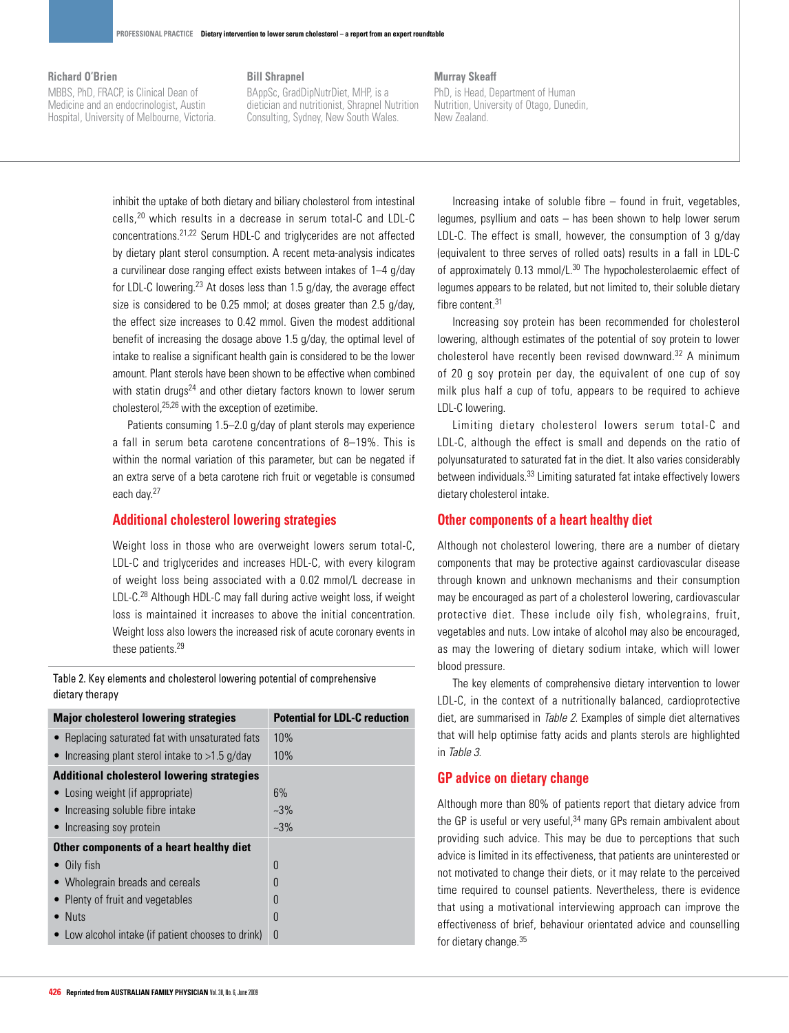#### **Richard O'Brien**

MBBS, PhD, FRACP, is Clinical Dean of Medicine and an endocrinologist, Austin Hospital, University of Melbourne, Victoria.

## **Bill Shrapnel**

BAppSc, GradDipNutrDiet, MHP, is a dietician and nutritionist, Shrapnel Nutrition Consulting, Sydney, New South Wales.

#### **Murray Skeaff**

PhD, is Head, Department of Human Nutrition, University of Otago, Dunedin, New Zealand.

inhibit the uptake of both dietary and biliary cholesterol from intestinal cells,20 which results in a decrease in serum total-C and LDL-C concentrations.21,22 Serum HDL-C and triglycerides are not affected by dietary plant sterol consumption. A recent meta-analysis indicates a curvilinear dose ranging effect exists between intakes of 1–4 g/day for LDL-C lowering.23 At doses less than 1.5 g/day, the average effect size is considered to be 0.25 mmol; at doses greater than 2.5 g/day, the effect size increases to 0.42 mmol. Given the modest additional benefit of increasing the dosage above 1.5 g/day, the optimal level of intake to realise a significant health gain is considered to be the lower amount. Plant sterols have been shown to be effective when combined with statin drugs<sup>24</sup> and other dietary factors known to lower serum cholesterol,25,26 with the exception of ezetimibe.

Patients consuming 1.5–2.0 g/day of plant sterols may experience a fall in serum beta carotene concentrations of 8–19%. This is within the normal variation of this parameter, but can be negated if an extra serve of a beta carotene rich fruit or vegetable is consumed each day.27

## **Additional cholesterol lowering strategies**

Weight loss in those who are overweight lowers serum total-C, LDL-C and triglycerides and increases HDL-C, with every kilogram of weight loss being associated with a 0.02 mmol/L decrease in LDL-C.<sup>28</sup> Although HDL-C may fall during active weight loss, if weight loss is maintained it increases to above the initial concentration. Weight loss also lowers the increased risk of acute coronary events in these patients.29

Table 2. Key elements and cholesterol lowering potential of comprehensive dietary therapy

| <b>Major cholesterol lowering strategies</b>       | <b>Potential for LDL-C reduction</b> |
|----------------------------------------------------|--------------------------------------|
| • Replacing saturated fat with unsaturated fats    | 10%                                  |
| • Increasing plant sterol intake to $>1.5$ g/day   | 10%                                  |
| <b>Additional cholesterol lowering strategies</b>  |                                      |
| • Losing weight (if appropriate)                   | 6%                                   |
| • Increasing soluble fibre intake                  | $-3\%$                               |
| • Increasing soy protein                           | $~23\%$                              |
| Other components of a heart healthy diet           |                                      |
| $\bullet$ Oily fish                                | $\Omega$                             |
| • Wholegrain breads and cereals                    | $\Omega$                             |
| • Plenty of fruit and vegetables                   | $\theta$                             |
| $\bullet$ Nuts                                     | $\theta$                             |
| • Low alcohol intake (if patient chooses to drink) | $\theta$                             |

Increasing intake of soluble fibre – found in fruit, vegetables, legumes, psyllium and oats – has been shown to help lower serum LDL-C. The effect is small, however, the consumption of 3 g/day (equivalent to three serves of rolled oats) results in a fall in LDL-C of approximately 0.13 mmol/L.<sup>30</sup> The hypocholesterolaemic effect of legumes appears to be related, but not limited to, their soluble dietary fibre content.<sup>31</sup>

Increasing soy protein has been recommended for cholesterol lowering, although estimates of the potential of soy protein to lower cholesterol have recently been revised downward.32 A minimum of 20 g soy protein per day, the equivalent of one cup of soy milk plus half a cup of tofu, appears to be required to achieve LDL-C lowering.

Limiting dietary cholesterol lowers serum total-C and LDL-C, although the effect is small and depends on the ratio of polyunsaturated to saturated fat in the diet. It also varies considerably between individuals.33 Limiting saturated fat intake effectively lowers dietary cholesterol intake.

## **Other components of a heart healthy diet**

Although not cholesterol lowering, there are a number of dietary components that may be protective against cardiovascular disease through known and unknown mechanisms and their consumption may be encouraged as part of a cholesterol lowering, cardiovascular protective diet. These include oily fish, wholegrains, fruit, vegetables and nuts. Low intake of alcohol may also be encouraged, as may the lowering of dietary sodium intake, which will lower blood pressure.

The key elements of comprehensive dietary intervention to lower LDL-C, in the context of a nutritionally balanced, cardioprotective diet, are summarised in Table 2. Examples of simple diet alternatives that will help optimise fatty acids and plants sterols are highlighted in Table 3.

## **GP advice on dietary change**

Although more than 80% of patients report that dietary advice from the GP is useful or very useful,<sup>34</sup> many GPs remain ambivalent about providing such advice. This may be due to perceptions that such advice is limited in its effectiveness, that patients are uninterested or not motivated to change their diets, or it may relate to the perceived time required to counsel patients. Nevertheless, there is evidence that using a motivational interviewing approach can improve the effectiveness of brief, behaviour orientated advice and counselling for dietary change.35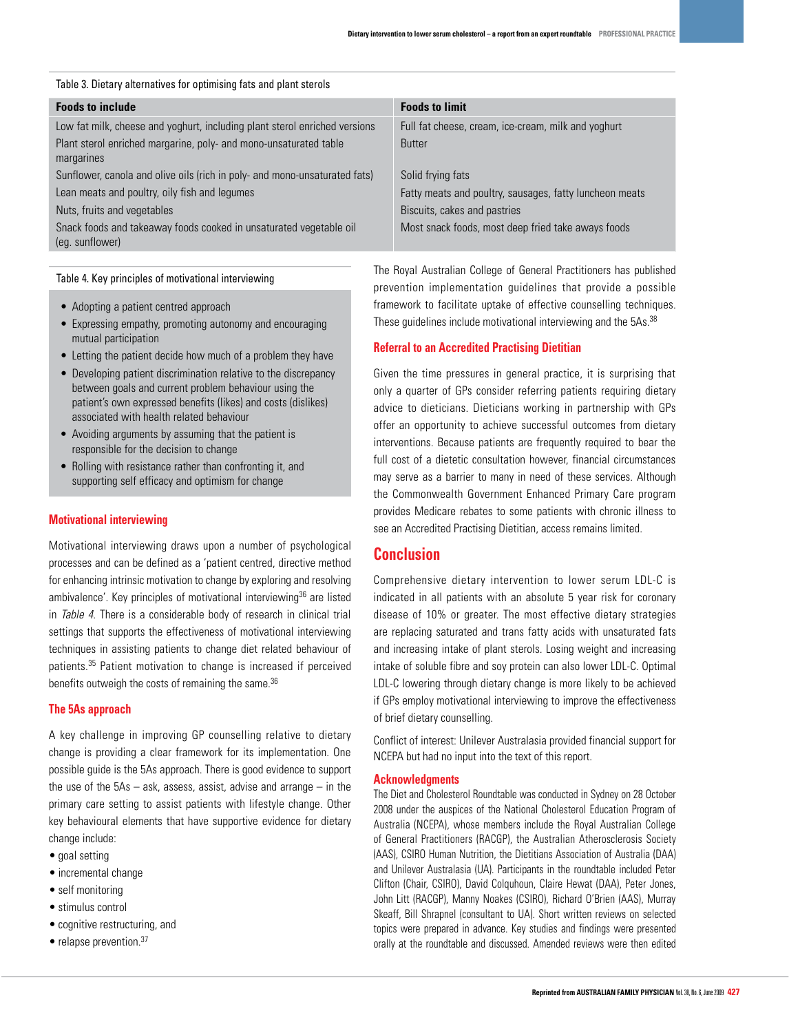| Table 3. Dietary alternatives for optimising fats and plant sterols                   |                                                         |  |
|---------------------------------------------------------------------------------------|---------------------------------------------------------|--|
| <b>Foods to include</b>                                                               | <b>Foods to limit</b>                                   |  |
| Low fat milk, cheese and yoghurt, including plant sterol enriched versions            | Full fat cheese, cream, ice-cream, milk and yoghurt     |  |
| Plant sterol enriched margarine, poly- and mono-unsaturated table<br>margarines       | <b>Butter</b>                                           |  |
| Sunflower, canola and olive oils (rich in poly- and mono-unsaturated fats)            | Solid frying fats                                       |  |
| Lean meats and poultry, oily fish and legumes                                         | Fatty meats and poultry, sausages, fatty luncheon meats |  |
| Nuts, fruits and vegetables                                                           | Biscuits, cakes and pastries                            |  |
| Snack foods and takeaway foods cooked in unsaturated vegetable oil<br>(eq. sunflower) | Most snack foods, most deep fried take aways foods      |  |

#### Table 4. Key principles of motivational interviewing

- Adopting a patient centred approach
- Expressing empathy, promoting autonomy and encouraging mutual participation
- Letting the patient decide how much of a problem they have
- Developing patient discrimination relative to the discrepancy between goals and current problem behaviour using the patient's own expressed benefits (likes) and costs (dislikes) associated with health related behaviour
- Avoiding arguments by assuming that the patient is responsible for the decision to change
- Rolling with resistance rather than confronting it, and supporting self efficacy and optimism for change

#### **Motivational interviewing**

Motivational interviewing draws upon a number of psychological processes and can be defined as a 'patient centred, directive method for enhancing intrinsic motivation to change by exploring and resolving ambivalence'. Key principles of motivational interviewing<sup>36</sup> are listed in Table 4. There is a considerable body of research in clinical trial settings that supports the effectiveness of motivational interviewing techniques in assisting patients to change diet related behaviour of patients.35 Patient motivation to change is increased if perceived benefits outweigh the costs of remaining the same.<sup>36</sup>

#### **The 5As approach**

A key challenge in improving GP counselling relative to dietary change is providing a clear framework for its implementation. One possible guide is the 5As approach. There is good evidence to support the use of the  $5As - ask$ , assess, assist, advise and arrange  $-$  in the primary care setting to assist patients with lifestyle change. Other key behavioural elements that have supportive evidence for dietary change include:

- goal setting
- incremental change
- self monitoring
- stimulus control
- cognitive restructuring, and
- $\bullet$  relapse prevention.<sup>37</sup>

The Royal Australian College of General Practitioners has published prevention implementation guidelines that provide a possible framework to facilitate uptake of effective counselling techniques. These guidelines include motivational interviewing and the 5As.<sup>38</sup>

#### **Referral to an Accredited Practising Dietitian**

Given the time pressures in general practice, it is surprising that only a quarter of GPs consider referring patients requiring dietary advice to dieticians. Dieticians working in partnership with GPs offer an opportunity to achieve successful outcomes from dietary interventions. Because patients are frequently required to bear the full cost of a dietetic consultation however, financial circumstances may serve as a barrier to many in need of these services. Although the Commonwealth Government Enhanced Primary Care program provides Medicare rebates to some patients with chronic illness to see an Accredited Practising Dietitian, access remains limited.

# **Conclusion**

Comprehensive dietary intervention to lower serum LDL-C is indicated in all patients with an absolute 5 year risk for coronary disease of 10% or greater. The most effective dietary strategies are replacing saturated and trans fatty acids with unsaturated fats and increasing intake of plant sterols. Losing weight and increasing intake of soluble fibre and soy protein can also lower LDL-C. Optimal LDL-C lowering through dietary change is more likely to be achieved if GPs employ motivational interviewing to improve the effectiveness of brief dietary counselling.

Conflict of interest: Unilever Australasia provided financial support for NCEPA but had no input into the text of this report.

#### **Acknowledgments**

The Diet and Cholesterol Roundtable was conducted in Sydney on 28 October 2008 under the auspices of the National Cholesterol Education Program of Australia (NCEPA), whose members include the Royal Australian College of General Practitioners (RACGP), the Australian Atherosclerosis Society (AAS), CSIRO Human Nutrition, the Dietitians Association of Australia (DAA) and Unilever Australasia (UA). Participants in the roundtable included Peter Clifton (Chair, CSIRO), David Colquhoun, Claire Hewat (DAA), Peter Jones, John Litt (RACGP), Manny Noakes (CSIRO), Richard O'Brien (AAS), Murray Skeaff, Bill Shrapnel (consultant to UA). Short written reviews on selected topics were prepared in advance. Key studies and findings were presented orally at the roundtable and discussed. Amended reviews were then edited